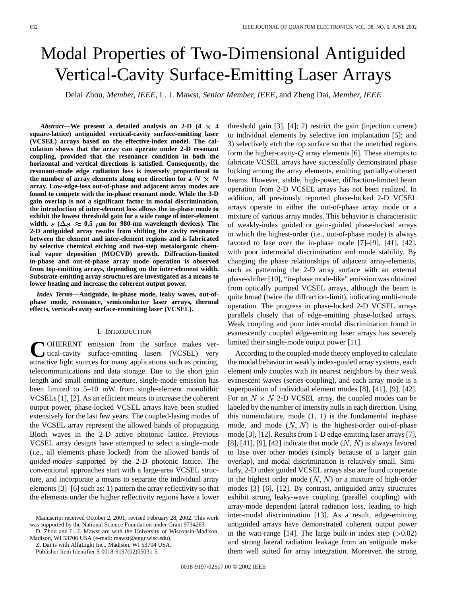# Modal Properties of Two-Dimensional Antiguided Vertical-Cavity Surface-Emitting Laser Arrays

Delai Zhou*, Member, IEEE*, L. J. Mawst*, Senior Member, IEEE*, and Zheng Dai*, Member, IEEE*

*Abstract*—We present a detailed analysis on 2-D (4  $\times$  4 **square-lattice) antiguided vertical-cavity surface-emitting laser (VCSEL) arrays based on the effective-index model. The calculation shows that the array can operate under 2-D resonant coupling, provided that the resonance condition in both the horizontal and vertical directions is satisfied. Consequently, the resonant-mode edge radiation loss is inversely proportional to** the number of array elements along one direction for a  $N \times N$ **array. Low-edge-loss out-of-phase and adjacent array modes are found to compete with the in-phase resonant mode. While the 3-D gain overlap is not a significant factor in modal discrimination, the introduction of inter-element loss allows the in-phase mode to exhibit the lowest threshold gain for a wide range of inter-element** width,  $s$  ( $\Delta s \approx 0.5$   $\mu$ m for 980-nm wavelength devices). The **2-D antiguided array results from shifting the cavity resonance between the element and inter-element regions and is fabricated by selective chemical etching and two-step metalorganic chemical vapor deposition (MOCVD) growth. Diffraction-limited in-phase and out-of-phase array mode operation is observed from top-emitting arrays, depending on the inter-element width. Substrate-emitting array structures are investigated as a means to lower heating and increase the coherent output power.**

*Index Terms—***Antiguide, in-phase mode, leaky waves, out-ofphase mode, resonance, semiconductor laser arrays, thermal effects, vertical-cavity surface-emmitting laser (VCSEL).**

# I. INTRODUCTION

**COHERENT** emission from the surface makes vertical-cavity surface-emitting lasers (VCSEL) very attractive light sources for many applications such as printing, telecommunications and data storage. Due to the short gain length and small emitting aperture, single-mode emission has been limited to 5–10 mW from single-element monolithic VCSELs [1], [2]. As an efficient means to increase the coherent output power, phase-locked VCSEL arrays have been studied extensively for the last few years. The coupled-lasing modes of the VCSEL array represent the allowed bands of propagating Bloch waves in the 2-D active photonic lattice. Previous VCSEL array designs have attempted to select a single-mode (i.e., all elements phase locked) from the allowed bands of *guided-modes* supported by the 2-D photonic lattice. The conventional approaches start with a large-area VCSEL structure, and incorporate a means to separate the individual array elements [3]–[6] such as: 1) pattern the array reflectivity so that the elements under the higher reflectivity regions have a lower

D. Zhou and L. J. Mawst are with the University of Wisconsin-Madison, Madison, WI 53706 USA (e-mail: mawst@engr.wisc.edu).

Z. Dai is with AlfaLight Inc., Madison, WI 53704 USA.

Publisher Item Identifier S 0018-9197(02)05031-5.

threshold gain [3], [4]; 2) restrict the gain (injection current) to individual elements by selective ion implantation [5]; and 3) selectively etch the top surface so that the unetched regions form the higher-cavity- $Q$  array elements [6]. These attempts to fabricate VCSEL arrays have successfully demonstrated phase locking among the array elements, emitting partially-coherent beams. However, stable, high-power, diffraction-limited beam operation from 2-D VCSEL arrays has not been realized. In addition, all previously reported phase-locked 2-D VCSEL arrays operate in either the out-of-phase array mode or a mixture of various array modes. This behavior is characteristic of weakly-index guided or gain-guided phase-locked arrays in which the highest-order (i.e., out-of-phase mode) is always favored to lase over the in-phase mode [7]–[9], [41], [42], with poor intermodal discrimination and mode stability. By changing the phase relationships of adjacent array-elements, such as patterning the 2-D array surface with an external phase-shifter [10], "in-phase mode-like" emission was obtained from optically pumped VCSEL arrays, although the beam is quite broad (twice the diffraction-limit), indicating multi-mode operation. The progress in phase-locked 2-D VCSEL arrays parallels closely that of edge-emitting phase-locked arrays. Weak coupling and poor inter-modal discrimination found in evanescently coupled edge-emitting laser arrays has severely limited their single-mode output power [11].

According to the coupled-mode theory employed to calculate the modal behavior in weakly index-guided array systems, each element only couples with its nearest neighbors by their weak evanescent waves (series-coupling), and each array mode is a superposition of individual element modes [8], [41], [9], [42]. For an  $N \times N$  2-D VCSEL array, the coupled modes can be labeled by the number of intensity nulls in each direction. Using this nomenclature, mode  $(1, 1)$  is the fundamental in-phase mode, and mode  $(N, N)$  is the highest-order out-of-phase mode [3], [12]. Results from 1-D edge-emitting laser arrays [7], [8], [41], [9], [42] indicate that mode  $(N, N)$  is always favored to lase over other modes (simply because of a larger gain overlap), and modal discrimination is relatively small. Similarly, 2-D index guided VCSEL arrays also are found to operate in the highest order mode  $(N, N)$  or a mixture of high-order modes [3]–[6], [12]. By contrast, antiguided array structures exhibit strong leaky-wave coupling (parallel coupling) with array-mode dependent lateral radiation loss, leading to high inter-modal discrimination [13]. As a result, edge-emitting antiguided arrays have demonstrated coherent output power in the watt-range [14]. The large built-in index step  $(>0.02)$ and strong lateral radiation leakage from an antiguide make them well suited for array integration. Moreover, the strong

Manuscript received October 2, 2001; revised February 28, 2002. This work was supported by the National Science Foundation under Grant 9734283.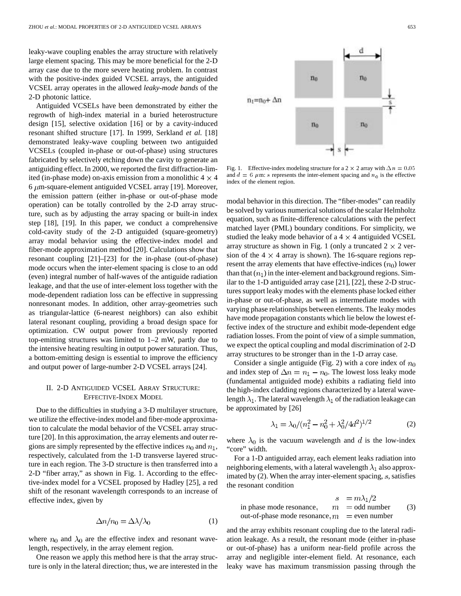leaky-wave coupling enables the array structure with relatively large element spacing. This may be more beneficial for the 2-D array case due to the more severe heating problem. In contrast with the positive-index guided VCSEL arrays, the antiguided VCSEL array operates in the allowed *leaky-mode bands* of the 2-D photonic lattice.

Antiguided VCSELs have been demonstrated by either the regrowth of high-index material in a buried heterostructure design [15], selective oxidation [16] or by a cavity-induced resonant shifted structure [17]. In 1999, Serkland *et al.* [18] demonstrated leaky-wave coupling between two antiguided VCSELs (coupled in-phase or out-of-phase) using structures fabricated by selectively etching down the cavity to generate an antiguiding effect. In 2000, we reported the first diffraction-limited (in-phase mode) on-axis emission from a monolithic  $4 \times 4$  $6 \mu$ m-square-element antiguided VCSEL array [19]. Moreover, the emission pattern (either in-phase or out-of-phase mode operation) can be totally controlled by the 2-D array structure, such as by adjusting the array spacing or built-in index step [18], [19]. In this paper, we conduct a comprehensive cold-cavity study of the 2-D antiguided (square-geometry) array modal behavior using the effective-index model and fiber-mode approximation method [20]. Calculations show that resonant coupling [21]–[23] for the in-phase (out-of-phase) mode occurs when the inter-element spacing is close to an odd (even) integral number of half-waves of the antiguide radiation leakage, and that the use of inter-element loss together with the mode-dependent radiation loss can be effective in suppressing nonresonant modes. In addition, other array-geometries such as triangular-lattice (6-nearest neighbors) can also exhibit lateral resonant coupling, providing a broad design space for optimization. CW output power from previously reported top-emitting structures was limited to 1–2 mW, partly due to the intensive heating resulting in output power saturation. Thus, a bottom-emitting design is essential to improve the efficiency and output power of large-number 2-D VCSEL arrays [24].

# II. 2-D ANTIGUIDED VCSEL ARRAY STRUCTURE: EFFECTIVE-INDEX MODEL

Due to the difficulties in studying a 3-D multilayer structure, we utilize the effective-index model and fiber-mode approximation to calculate the modal behavior of the VCSEL array structure [20]. In this approximation, the array elements and outer regions are simply represented by the effective indices  $n_0$  and  $n_1$ , respectively, calculated from the 1-D transverse layered structure in each region. The 3-D structure is then transferred into a 2-D "fiber array," as shown in Fig. 1. According to the effective-index model for a VCSEL proposed by Hadley [25], a red shift of the resonant wavelength corresponds to an increase of effective index, given by

$$
\Delta n/n_0 = \Delta \lambda / \lambda_0 \tag{1}
$$

where  $n_0$  and  $\lambda_0$  are the effective index and resonant wavelength, respectively, in the array element region.

One reason we apply this method here is that the array structure is only in the lateral direction; thus, we are interested in the



Fig. 1. Effective-index modeling structure for a 2  $\times$  2 array with  $\Delta n = 0.05$ and  $d = 6 \mu \text{m}$ : s represents the inter-element spacing and  $n_0$  is the effective index of the element region.

modal behavior in this direction. The "fiber-modes" can readily be solved by various numerical solutions of the scalar Helmholtz equation, such as finite-difference calculations with the perfect matched layer (PML) boundary conditions. For simplicity, we studied the leaky mode behavior of a  $4 \times 4$  antiguided VCSEL array structure as shown in Fig. 1 (only a truncated  $2 \times 2$  version of the  $4 \times 4$  array is shown). The 16-square regions represent the array elements that have effective-indices  $(n_0)$  lower than that  $(n_1)$  in the inter-element and background regions. Similar to the 1-D antiguided array case [21], [22], these 2-D structures support leaky modes with the elements phase locked either in-phase or out-of-phase, as well as intermediate modes with varying phase relationships between elements. The leaky modes have mode propagation constants which lie below the lowest effective index of the structure and exhibit mode-dependent edge radiation losses. From the point of view of a simple summation, we expect the optical coupling and modal discrimination of 2-D array structures to be stronger than in the 1-D array case.

Consider a single antiguide (Fig. 2) with a core index of  $n_0$ and index step of  $\Delta n = n_1 - n_0$ . The lowest loss leaky mode (fundamental antiguided mode) exhibits a radiating field into the high-index cladding regions characterized by a lateral wavelength  $\lambda_1$ . The lateral wavelength  $\lambda_1$  of the radiation leakage can be approximated by [26]

$$
\lambda_1 = \lambda_0 / (n_1^2 - n_0^2 + \lambda_0^2 / 4d^2)^{1/2}
$$
 (2)

where  $\lambda_0$  is the vacuum wavelength and d is the low-index "core" width.

For a 1-D antiguided array, each element leaks radiation into neighboring elements, with a lateral wavelength  $\lambda_1$  also approximated by  $(2)$ . When the array inter-element spacing, s, satisfies the resonant condition

$$
s = m\lambda_1/2
$$
  
in phase mode resonance,  $m =$ odd number  
out-of-phase mode resonance,  $m =$ even number

and the array exhibits resonant coupling due to the lateral radiation leakage. As a result, the resonant mode (either in-phase or out-of-phase) has a uniform near-field profile across the array and negligible inter-element field. At resonance, each leaky wave has maximum transmission passing through the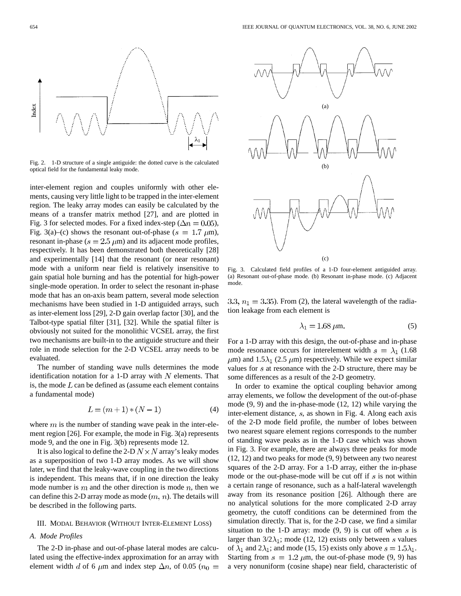

Fig. 2. 1-D structure of a single antiguide: the dotted curve is the calculated optical field for the fundamental leaky mode.

inter-element region and couples uniformly with other elements, causing very little light to be trapped in the inter-element region. The leaky array modes can easily be calculated by the means of a transfer matrix method [27], and are plotted in Fig. 3 for selected modes. For a fixed index-step ( $\Delta n = 0.05$ ), Fig. 3(a)–(c) shows the resonant out-of-phase ( $s = 1.7 \mu$ m), resonant in-phase ( $s = 2.5 \ \mu m$ ) and its adjacent mode profiles, respectively. It has been demonstrated both theoretically [28] and experimentally [14] that the resonant (or near resonant) mode with a uniform near field is relatively insensitive to gain spatial hole burning and has the potential for high-power single-mode operation. In order to select the resonant in-phase mode that has an on-axis beam pattern, several mode selection mechanisms have been studied in 1-D antiguided arrays, such as inter-element loss [29], 2-D gain overlap factor [30], and the Talbot-type spatial filter [31], [32]. While the spatial filter is obviously not suited for the monolithic VCSEL array, the first two mechanisms are built-in to the antiguide structure and their role in mode selection for the 2-D VCSEL array needs to be evaluated.

The number of standing wave nulls determines the mode identification notation for a 1-D array with  $N$  elements. That is, the mode  $L$  can be defined as (assume each element contains a fundamental mode)

$$
L = (m+1) \times (N-1) \tag{4}
$$

where  $m$  is the number of standing wave peak in the inter-element region [26]. For example, the mode in Fig. 3(a) represents mode 9, and the one in Fig. 3(b) represents mode 12.

It is also logical to define the 2-D  $N \times N$  array's leaky modes as a superposition of two 1-D array modes. As we will show later, we find that the leaky-wave coupling in the two directions is independent. This means that, if in one direction the leaky mode number is  $m$  and the other direction is mode  $n$ , then we can define this 2-D array mode as mode  $(m, n)$ . The details will be described in the following parts.

#### III. MODAL BEHAVIOR (WITHOUT INTER-ELEMENT LOSS)

### *A. Mode Profiles*

The 2-D in-phase and out-of-phase lateral modes are calculated using the effective-index approximation for an array with element width d of 6  $\mu$ m and index step  $\Delta n$ , of 0.05 ( $n_0 =$ 



Fig. 3. Calculated field profiles of a 1-D four-element antiguided array. (a) Resonant out-of-phase mode. (b) Resonant in-phase mode. (c) Adjacent mode.

3.3,  $n_1 = 3.35$ ). From (2), the lateral wavelength of the radiation leakage from each element is

$$
\lambda_1 = 1.68 \,\mu\text{m}.\tag{5}
$$

For a 1-D array with this design, the out-of-phase and in-phase mode resonance occurs for interelement width  $s = \lambda_1$  (1.68)  $\mu$ m) and 1.5 $\lambda$ <sub>1</sub> (2.5  $\mu$ m) respectively. While we expect similar values for  $s$  at resonance with the 2-D structure, there may be some differences as a result of the 2-D geometry.

In order to examine the optical coupling behavior among array elements, we follow the development of the out-of-phase mode (9, 9) and the in-phase-mode (12, 12) while varying the inter-element distance,  $s$ , as shown in Fig. 4. Along each axis of the 2-D mode field profile, the number of lobes between two nearest square element regions corresponds to the number of standing wave peaks as in the 1-D case which was shown in Fig. 3. For example, there are always three peaks for mode (12, 12) and two peaks for mode (9, 9) between any two nearest squares of the 2-D array. For a 1-D array, either the in-phase mode or the out-phase-mode will be cut off if  $s$  is not within a certain range of resonance, such as a half-lateral wavelength away from its resonance position [26]. Although there are no analytical solutions for the more complicated 2-D array geometry, the cutoff conditions can be determined from the simulation directly. That is, for the 2-D case, we find a similar situation to the 1-D array: mode  $(9, 9)$  is cut off when s is larger than  $3/2\lambda_1$ ; mode (12, 12) exists only between s values of  $\lambda_1$  and  $2\lambda_1$ ; and mode (15, 15) exists only above  $s = 1.5\lambda_1$ . Starting from  $s = 1.2 \mu m$ , the out-of-phase mode (9, 9) has a very nonuniform (cosine shape) near field, characteristic of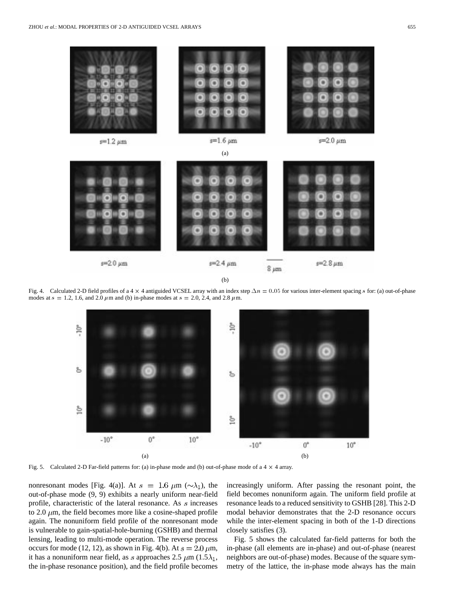

Fig. 4. Calculated 2-D field profiles of a 4  $\times$  4 antiguided VCSEL array with an index step  $\Delta n = 0.05$  for various inter-element spacing s for: (a) out-of-phase modes at  $s = 1.2$ , 1.6, and 2.0  $\mu$ m and (b) in-phase modes at  $s = 2.0$ , 2.4, and 2.8  $\mu$ m.



Fig. 5. Calculated 2-D Far-field patterns for: (a) in-phase mode and (b) out-of-phase mode of a  $4 \times 4$  array.

nonresonant modes [Fig. 4(a)]. At  $s = 1.6 \ \mu m \ (\sim \lambda_1)$ , the out-of-phase mode (9, 9) exhibits a nearly uniform near-field profile, characteristic of the lateral resonance. As  $s$  increases to 2.0  $\mu$ m, the field becomes more like a cosine-shaped profile again. The nonuniform field profile of the nonresonant mode is vulnerable to gain-spatial-hole-burning (GSHB) and thermal lensing, leading to multi-mode operation. The reverse process occurs for mode (12, 12), as shown in Fig. 4(b). At  $s = 2.0 \,\mu$ m, it has a nonuniform near field, as s approaches 2.5  $\mu$ m (1.5 $\lambda$ <sub>1</sub>, the in-phase resonance position), and the field profile becomes

increasingly uniform. After passing the resonant point, the field becomes nonuniform again. The uniform field profile at resonance leads to a reduced sensitivity to GSHB [28]. This 2-D modal behavior demonstrates that the 2-D resonance occurs while the inter-element spacing in both of the 1-D directions closely satisfies (3).

Fig. 5 shows the calculated far-field patterns for both the in-phase (all elements are in-phase) and out-of-phase (nearest neighbors are out-of-phase) modes. Because of the square symmetry of the lattice, the in-phase mode always has the main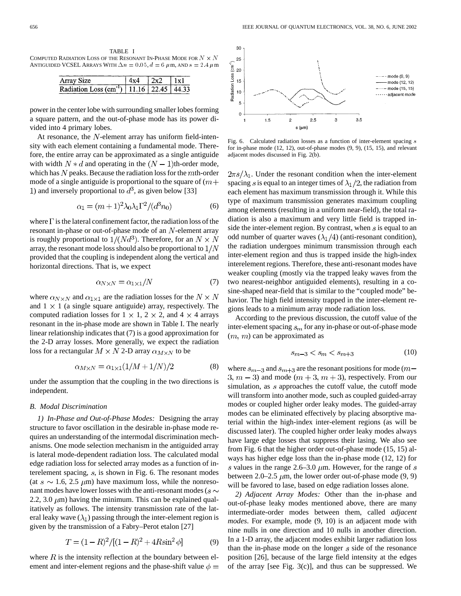TABLE I COMPUTED RADIATION LOSS OF THE RESONANT IN-PHASE MODE FOR  $N \times N$ ANTIGUIDED VCSEL ARRAYS WITH  $\Delta n = 0.05$ ,  $d = 6 \mu$ m, AND  $s = 2.4 \mu$ m

| Array Size                                                 | エフマフ |  |
|------------------------------------------------------------|------|--|
| Radiation Loss (cm <sup>-1</sup> )   11.16   22.45   44.33 |      |  |

power in the center lobe with surrounding smaller lobes forming a square pattern, and the out-of-phase mode has its power divided into 4 primary lobes.

At resonance, the  $N$ -element array has uniform field-intensity with each element containing a fundamental mode. Therefore, the entire array can be approximated as a single antiguide with width  $N * d$  and operating in the  $(N-1)$ th-order mode, which has  $N$  peaks. Because the radiation loss for the  $m$ th-order mode of a single antiguide is proportional to the square of  $(m +$ 1) and inversely proportional to  $d^3$ , as given below [33]

$$
\alpha_1 = (m+1)^2 \lambda_0 \lambda_1 \Gamma^2 / (d^3 n_0) \tag{6}
$$

where  $\Gamma$  is the lateral confinement factor, the radiation loss of the resonant in-phase or out-of-phase mode of an  $N$ -element array is roughly proportional to  $1/(Nd^3)$ . Therefore, for an  $N \times N$ array, the resonant mode loss should also be proportional to  $1/N$ provided that the coupling is independent along the vertical and horizontal directions. That is, we expect

$$
\alpha_{N \times N} = \alpha_{1 \times 1} / N \tag{7}
$$

where  $\alpha_{N\times N}$  and  $\alpha_{1\times 1}$  are the radiation losses for the  $N\times N$ and  $1 \times 1$  (a single square antiguide) array, respectively. The computed radiation losses for  $1 \times 1$ ,  $2 \times 2$ , and  $4 \times 4$  arrays resonant in the in-phase mode are shown in Table I. The nearly linear relationship indicates that (7) is a good approximation for the 2-D array losses. More generally, we expect the radiation loss for a rectangular  $M \times N$  2-D array  $\alpha_{M \times N}$  to be

$$
\alpha_{M \times N} = \alpha_{1 \times 1} (1/M + 1/N)/2 \tag{8}
$$

under the assumption that the coupling in the two directions is independent.

#### *B. Modal Discrimination*

*1) In-Phase and Out-of-Phase Modes:* Designing the array structure to favor oscillation in the desirable in-phase mode requires an understanding of the intermodal discrimination mechanisms. One mode selection mechanism in the antiguided array is lateral mode-dependent radiation loss. The calculated modal edge radiation loss for selected array modes as a function of interelement spacing,  $s$ , is shown in Fig. 6. The resonant modes (at  $s \sim 1.6$ , 2.5  $\mu$ m) have maximum loss, while the nonresonant modes have lower losses with the anti-resonant modes ( $s \sim$ 2.2, 3.0  $\mu$ m) having the minimum. This can be explained qualitatively as follows. The intensity transmission rate of the lateral leaky wave  $(\lambda_1)$  passing through the inter-element region is given by the transmission of a Fabry–Perot etalon [27]

$$
T = (1 - R)^2 / [(1 - R)^2 + 4R\sin^2\phi]
$$
 (9)

where  $R$  is the intensity reflection at the boundary between element and inter-element regions and the phase-shift value  $\phi =$ 



Fig. 6. Calculated radiation losses as a function of inter-element spacing s for in-phase mode (12, 12), out-of-phase modes (9, 9), (15, 15), and relevant adjacent modes discussed in Fig. 2(b).

 $2\pi s/\lambda_1$ . Under the resonant condition when the inter-element spacing s is equal to an integer times of  $\lambda_1/2$ , the radiation from each element has maximum transmission through it. While this type of maximum transmission generates maximum coupling among elements (resulting in a uniform near-field), the total radiation is also a maximum and very little field is trapped inside the inter-element region. By contrast, when  $s$  is equal to an odd number of quarter waves  $(\lambda_1/4)$  (anti-resonant condition), the radiation undergoes minimum transmission through each inter-element region and thus is trapped inside the high-index interelement regions. Therefore, these anti-resonant modes have weaker coupling (mostly via the trapped leaky waves from the two nearest-neighbor antiguided elements), resulting in a cosine-shaped near-field that is similar to the "coupled mode" behavior. The high field intensity trapped in the inter-element regions leads to a minimum array mode radiation loss.

According to the previous discussion, the cutoff value of the inter-element spacing  $s_m$  for any in-phase or out-of-phase mode  $(m, m)$  can be approximated as

$$
s_{m-3} < s_m < s_{m+3} \tag{10}
$$

where  $s_{m-3}$  and  $s_{m+3}$  are the resonant positions for mode ( $m-$ 3,  $m - 3$ ) and mode  $(m + 3, m + 3)$ , respectively. From our simulation, as s approaches the cutoff value, the cutoff mode will transform into another mode, such as coupled guided-array modes or coupled higher order leaky modes. The guided-array modes can be eliminated effectively by placing absorptive material within the high-index inter-element regions (as will be discussed later). The coupled higher order leaky modes always have large edge losses that suppress their lasing. We also see from Fig. 6 that the higher order out-of-phase mode (15, 15) always has higher edge loss than the in-phase mode (12, 12) for s values in the range 2.6–3.0  $\mu$ m. However, for the range of s between 2.0–2.5  $\mu$ m, the lower order out-of-phase mode (9, 9) will be favored to lase, based on edge radiation losses alone.

*2) Adjacent Array Modes:* Other than the in-phase and out-of-phase leaky modes mentioned above, there are many intermediate-order modes between them, called *adjacent modes*. For example, mode (9, 10) is an adjacent mode with nine nulls in one direction and 10 nulls in another direction. In a 1-D array, the adjacent modes exhibit larger radiation loss than the in-phase mode on the longer  $s$  side of the resonance position [26], because of the large field intensity at the edges of the array [see Fig. 3(c)], and thus can be suppressed. We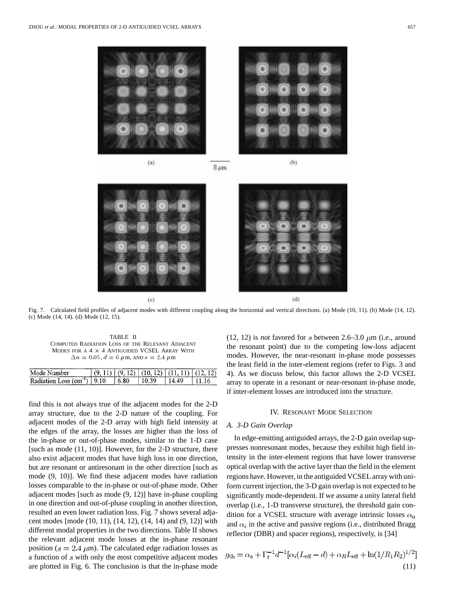

 $(a)$ 

 $8 \mu m$ 





Fig. 7. Calculated field profiles of adjacent modes with different coupling along the horizontal and vertical directions. (a) Mode (10, 11). (b) Mode (14, 12). (c) Mode (14, 14). (d) Mode (12, 15).

TABLE II COMPUTED RADIATION LOSS OF THE RELEVANT ADJACENT MODES FOR A 4 x 4 ANTIGUIDED VCSEL ARRAY WITH  $\Delta n = 0.05$ ,  $d = 6 \mu$ m, AND  $s = 2.4 \mu$ m

| Mode Number                                           |     | ''' ' |      | 2. IZI |
|-------------------------------------------------------|-----|-------|------|--------|
| $\overline{\phantom{a}}$<br>Radiation<br>$1$ oss (cm) | 910 | - 4   | 4. Y |        |

find this is not always true of the adjacent modes for the 2-D array structure, due to the 2-D nature of the coupling. For adjacent modes of the 2-D array with high field intensity at the edges of the array, the losses are higher than the loss of the in-phase or out-of-phase modes, similar to the 1-D case [such as mode (11, 10)]. However, for the 2-D structure, there also exist adjacent modes that have high loss in one direction, but are resonant or antiresonant in the other direction [such as mode (9, 10)]. We find these adjacent modes have radiation losses comparable to the in-phase or out-of-phase mode. Other adjacent modes [such as mode (9, 12)] have in-phase coupling in one direction and out-of-phase coupling in another direction, resulted an even lower radiation loss. Fig. 7 shows several adjacent modes [mode (10, 11), (14, 12), (14, 14) and (9, 12)] with different modal properties in the two directions. Table II shows the relevant adjacent mode losses at the in-phase resonant position ( $s = 2.4 \ \mu m$ ). The calculated edge radiation losses as a function of  $s$  with only the most competitive adjacent modes are plotted in Fig. 6. The conclusion is that the in-phase mode  $(12, 12)$  is *not* favored for s between 2.6–3.0  $\mu$ m (i.e., around the resonant point) due to the competing low-loss adjacent modes. However, the near-resonant in-phase mode possesses the least field in the inter-element regions (refer to Figs. 3 and 4). As we discuss below, this factor allows the 2-D VCSEL array to operate in a resonant or near-resonant in-phase mode, if inter-element losses are introduced into the structure.

## IV. RESONANT MODE SELECTION

# *A. 3-D Gain Overlap*

In edge-emitting antiguided arrays, the 2-D gain overlap suppresses nonresonant modes, because they exhibit high field intensity in the inter-element regions that have lower transverse optical overlap with the active layer than the field in the element regions have. However, in the antiguided VCSEL array with uniform current injection, the 3-D gain overlap is not expected to be significantly mode-dependent. If we assume a unity lateral field overlap (i.e., 1-D transverse structure), the threshold gain condition for a VCSEL structure with average intrinsic losses  $\alpha_a$ and  $\alpha_i$  in the active and passive regions (i.e., distributed Bragg reflector (DBR) and spacer regions), respectively, is [34]

$$
g_{\text{th}} = \alpha_a + \Gamma_t^{-1} d^{-1} [\alpha_i (L_{\text{eff}} - d) + \alpha_R L_{\text{eff}} + \ln(1/R_1 R_2)^{1/2}]
$$
\n(11)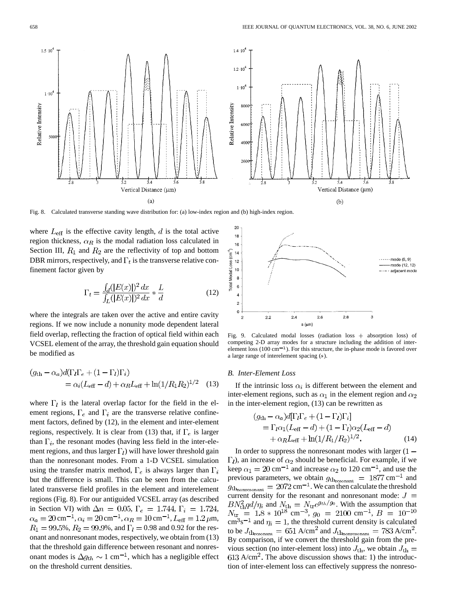

Fig. 8. Calculated transverse standing wave distribution for: (a) low-index region and (b) high-index region.

where  $L_{\text{eff}}$  is the effective cavity length, d is the total active region thickness,  $\alpha_R$  is the modal radiation loss calculated in Section III,  $R_1$  and  $R_2$  are the reflectivity of top and bottom DBR mirrors, respectively, and  $\Gamma_t$  is the transverse relative confinement factor given by

$$
\Gamma_t = \frac{\int_d (|E(x)|)^2 dx}{\int_L (|E(x)|)^2 dx} * \frac{L}{d}
$$
\n(12)

where the integrals are taken over the active and entire cavity regions. If we now include a nonunity mode dependent lateral field overlap, reflecting the fraction of optical field within each VCSEL element of the array, the threshold gain equation should be modified as

$$
(g_{\text{th}} - \alpha_a) d(\Gamma_l \Gamma_e + (1 - \Gamma_l) \Gamma_i)
$$
  
=  $\alpha_i (L_{\text{eff}} - d) + \alpha_R L_{\text{eff}} + \ln(1/R_1 R_2)^{1/2}$  (13)

where  $\Gamma_l$  is the lateral overlap factor for the field in the element regions,  $\Gamma_e$  and  $\Gamma_i$  are the transverse relative confinement factors, defined by (12), in the element and inter-element regions, respectively. It is clear from (13) that, if  $\Gamma_e$  is larger than  $\Gamma_i$ , the resonant modes (having less field in the inter-element regions, and thus larger  $\Gamma_l$ ) will have lower threshold gain than the nonresonant modes. From a 1-D VCSEL simulation using the transfer matrix method,  $\Gamma_e$  is always larger than  $\Gamma_i$ but the difference is small. This can be seen from the calculated transverse field profiles in the element and interelement regions (Fig. 8). For our antiguided VCSEL array (as described in Section VI) with  $\Delta n = 0.05$ ,  $\Gamma_e = 1.744$ ,  $\Gamma_i = 1.724$ ,  $\alpha_a = 20 \text{ cm}^{-1}, \alpha_i = 20 \text{ cm}^{-1}, \alpha_R = 10 \text{ cm}^{-1}, L_{\text{eff}} = 1.2 \mu \text{m},$  $R_1 = 99.5\%, R_2 = 99.9\%, \text{ and } \Gamma_l = 0.98 \text{ and } 0.92 \text{ for the res-}$ onant and nonresonant modes, respectively, we obtain from (13) that the threshold gain difference between resonant and nonresonant modes is  $\Delta g_{th} \sim 1 \text{ cm}^{-1}$ , which has a negligible effect on the threshold current densities.



Fig. 9. Calculated modal losses (radiation loss + absorption loss) of competing 2-D array modes for a structure including the addition of interelement loss (100 cm<sup> $-1$ </sup>). For this structure, the in-phase mode is favored over a large range of interelement spacing (s).

#### *B. Inter-Element Loss*

If the intrinsic loss  $\alpha_i$  is different between the element and inter-element regions, such as  $\alpha_1$  in the element region and  $\alpha_2$ in the inter-element region, (13) can be rewritten as

$$
(g_{\text{th}} - \alpha_a)d[\Gamma_l \Gamma_e + (1 - \Gamma_l)\Gamma_i]
$$
  
=  $\Gamma_l \alpha_1 (L_{\text{eff}} - d) + (1 - \Gamma_l)\alpha_2 (L_{\text{eff}} - d)$   
+  $\alpha_R L_{\text{eff}} + \ln(1/R_1/R_2)^{1/2}$ . (14)

In order to suppress the nonresonant modes with larger  $(1 \Gamma_l$ ), an increase of  $\alpha_2$  should be beneficial. For example, if we keep  $\alpha_1 = 20 \text{ cm}^{-1}$  and increase  $\alpha_2$  to 120 cm<sup>-1</sup>, and use the previous parameters, we obtain  $g_{\text{th}_{\text{resonant}}} = 1877 \text{ cm}^{-1}$  and  $g_{\text{th}_{\text{nonresonant}}} = 2072 \text{ cm}^{-1}$ . We can then calculate the threshold current density for the resonant and nonresonant mode:  $J =$ and  $N_{\text{th}} = N_{\text{tr}} e^{g_{th}/g_0}$ . With the assumption that  $\text{cm}^{-3}$ ,  $g_0 = 2100 \text{ cm}^{-1}$ ,  $\text{cm}^3 \text{s}^{-1}$  and  $\eta_i = 1$ , the threshold current density is calculated to be  $J_{\text{th}_{\text{resonant}}}$  = 651 A/cm<sup>2</sup> and  $J_{\text{th}_{\text{nonresonant}}}$  = 783 A/cm<sup>2</sup>. By comparison, if we convert the threshold gain from the previous section (no inter-element loss) into  $J_{\text{th}}$ , we obtain  $J_{\text{th}} =$  $613 \text{ A/cm}^2$ . The above discussion shows that: 1) the introduction of inter-element loss can effectively suppress the nonreso-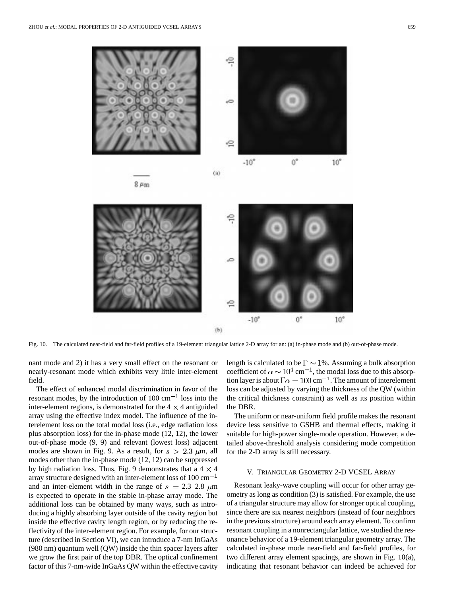

Fig. 10. The calculated near-field and far-field profiles of a 19-element triangular lattice 2-D array for an: (a) in-phase mode and (b) out-of-phase mode.

nant mode and 2) it has a very small effect on the resonant or nearly-resonant mode which exhibits very little inter-element field.

The effect of enhanced modal discrimination in favor of the resonant modes, by the introduction of 100  $\text{cm}^{-1}$  loss into the inter-element regions, is demonstrated for the  $4 \times 4$  antiguided array using the effective index model. The influence of the interelement loss on the total modal loss (i.e., edge radiation loss plus absorption loss) for the in-phase mode (12, 12), the lower out-of-phase mode (9, 9) and relevant (lowest loss) adjacent modes are shown in Fig. 9. As a result, for  $s > 2.3 \mu m$ , all modes other than the in-phase mode (12, 12) can be suppressed by high radiation loss. Thus, Fig. 9 demonstrates that a  $4 \times 4$ array structure designed with an inter-element loss of  $100 \text{ cm}^{-1}$ and an inter-element width in the range of  $s = 2.3-2.8$   $\mu$ m is expected to operate in the stable in-phase array mode. The additional loss can be obtained by many ways, such as introducing a highly absorbing layer outside of the cavity region but inside the effective cavity length region, or by reducing the reflectivity of the inter-element region. For example, for our structure (described in Section VI), we can introduce a 7-nm InGaAs (980 nm) quantum well (QW) inside the thin spacer layers after we grow the first pair of the top DBR. The optical confinement factor of this 7-nm-wide InGaAs QW within the effective cavity

length is calculated to be  $\Gamma \sim 1\%$ . Assuming a bulk absorption coefficient of  $\alpha \sim 10^4$  cm<sup>-1</sup>, the modal loss due to this absorption layer is about  $\Gamma \alpha = 100 \text{ cm}^{-1}$ . The amount of interelement loss can be adjusted by varying the thickness of the QW (within the critical thickness constraint) as well as its position within the DBR.

The uniform or near-uniform field profile makes the resonant device less sensitive to GSHB and thermal effects, making it suitable for high-power single-mode operation. However, a detailed above-threshold analysis considering mode competition for the 2-D array is still necessary.

### V. TRIANGULAR GEOMETRY 2-D VCSEL ARRAY

Resonant leaky-wave coupling will occur for other array geometry as long as condition (3) is satisfied. For example, the use of a triangular structure may allow for stronger optical coupling, since there are six nearest neighbors (instead of four neighbors in the previous structure) around each array element. To confirm resonant coupling in a nonrectangular lattice, we studied the resonance behavior of a 19-element triangular geometry array. The calculated in-phase mode near-field and far-field profiles, for two different array element spacings, are shown in Fig. 10(a), indicating that resonant behavior can indeed be achieved for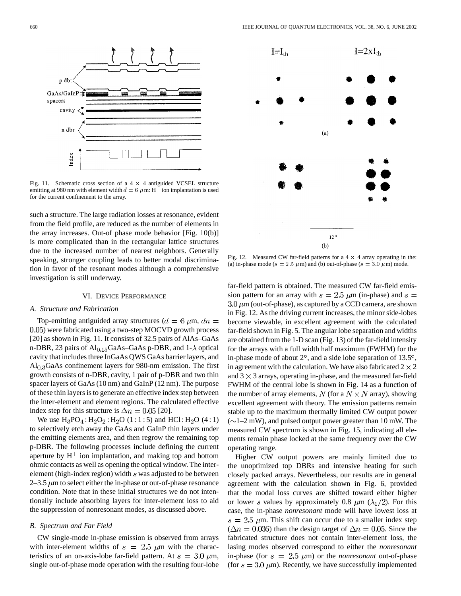

Fig. 11. Schematic cross section of a  $4 \times 4$  antiguided VCSEL structure emitting at 980 nm with element width  $d = 6 \mu$ m: H<sup>+</sup> ion implantation is used for the current confinement to the array.

such a structure. The large radiation losses at resonance, evident from the field profile, are reduced as the number of elements in the array increases. Out-of phase mode behavior [Fig. 10(b)] is more complicated than in the rectangular lattice structures due to the increased number of nearest neighbors. Generally speaking, stronger coupling leads to better modal discrimination in favor of the resonant modes although a comprehensive investigation is still underway.

#### VI. DEVICE PERFORMANCE

#### *A. Structure and Fabrication*

Top-emitting antiguided array structures ( $d = 6 \mu m$ ,  $dn =$ ) were fabricated using a two-step MOCVD growth process [20] as shown in Fig. 11. It consists of 32.5 pairs of AlAs–GaAs n-DBR, 23 pairs of  $Al<sub>0.15</sub>GaAs-GaAs$  p-DBR, and  $1-\lambda$  optical cavity that includes three InGaAs QWS GaAs barrier layers, and  $Al<sub>0.3</sub> GaAs confinement layers for 980-nm emission. The first$ growth consists of n-DBR, cavity, 1 pair of p-DBR and two thin spacer layers of GaAs (10 nm) and GaInP (12 nm). The purpose of these thin layers is to generate an effective index step between the inter-element and element regions. The calculated effective index step for this structure is  $\Delta n = 0.05$  [20].

We use  $H_3PO_4$ :  $H_2O_2$ :  $H_2O$  (1:1:5) and HCl:  $H_2O$  (4:1) to selectively etch away the GaAs and GaInP thin layers under the emitting elements area, and then regrow the remaining top p-DBR. The following processes include defining the current aperture by  $H^+$  ion implantation, and making top and bottom ohmic contacts as well as opening the optical window. The interelement (high-index region) width  $s$  was adjusted to be between 2–3.5  $\mu$ m to select either the in-phase or out-of-phase resonance condition. Note that in these initial structures we do not intentionally include absorbing layers for inter-element loss to aid the suppression of nonresonant modes, as discussed above.

### *B. Spectrum and Far Field*

CW single-mode in-phase emission is observed from arrays with inter-element widths of  $s = 2.5 \mu m$  with the characteristics of an on-axis-lobe far-field pattern. At  $s = 3.0 \ \mu m$ , single out-of-phase mode operation with the resulting four-lobe



Fig. 12. Measured CW far-field patterns for a  $4 \times 4$  array operating in the: (a) in-phase mode ( $s = 2.5 \mu$ m) and (b) out-of-phase ( $s = 3.0 \mu$ m) mode.

far-field pattern is obtained. The measured CW far-field emission pattern for an array with  $s = 2.5 \mu m$  (in-phase) and  $s =$  $3.0 \mu$ m (out-of-phase), as captured by a CCD camera, are shown in Fig. 12. As the driving current increases, the minor side-lobes become viewable, in excellent agreement with the calculated far-field shown in Fig. 5. The angular lobe separation and widths are obtained from the 1-D scan (Fig. 13) of the far-field intensity for the arrays with a full width half maximum (FWHM) for the in-phase mode of about  $2^\circ$ , and a side lobe separation of  $13.5^\circ$ , in agreement with the calculation. We have also fabricated  $2 \times 2$ and  $3 \times 3$  arrays, operating in-phase, and the measured far-field FWHM of the central lobe is shown in Fig. 14 as a function of the number of array elements, N (for a  $N \times N$  array), showing excellent agreement with theory. The emission patterns remain stable up to the maximum thermally limited CW output power  $(\sim 1-2$  mW), and pulsed output power greater than 10 mW. The measured CW spectrum is shown in Fig. 15, indicating all elements remain phase locked at the same frequency over the CW operating range.

Higher CW output powers are mainly limited due to the unoptimized top DBRs and intensive heating for such closely packed arrays. Nevertheless, our results are in general agreement with the calculation shown in Fig. 6, provided that the modal loss curves are shifted toward either higher or lower s values by approximately 0.8  $\mu$ m ( $\lambda$ <sub>1</sub>/2). For this case, the in-phase *nonresonant* mode will have lowest loss at  $s = 2.5 \mu$ m. This shift can occur due to a smaller index step  $(\Delta n = 0.036)$  than the design target of  $\Delta n = 0.05$ . Since the fabricated structure does not contain inter-element loss, the lasing modes observed correspond to either the *nonresonant* in-phase (for  $s = 2.5 \mu m$ ) or the *nonresonant* out-of-phase (for  $s = 3.0 \ \mu m$ ). Recently, we have successfully implemented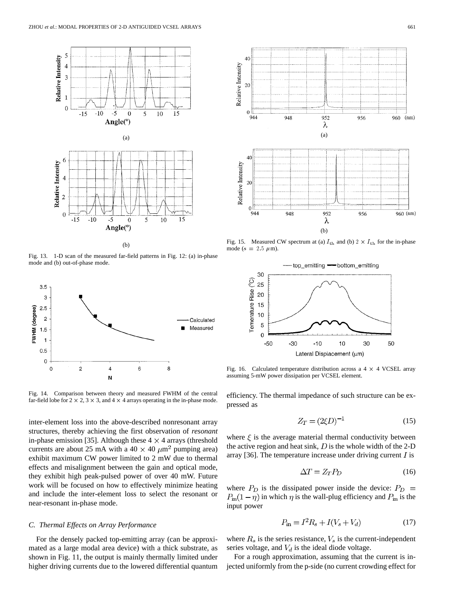

Fig. 13. 1-D scan of the measured far-field patterns in Fig. 12: (a) in-phase mode and (b) out-of-phase mode.



Fig. 14. Comparison between theory and measured FWHM of the central far-field lobe for  $2 \times 2$ ,  $3 \times 3$ , and  $4 \times 4$  arrays operating in the in-phase mode.

inter-element loss into the above-described nonresonant array structures, thereby achieving the first observation of *resonant* in-phase emission [35]. Although these  $4 \times 4$  arrays (threshold currents are about 25 mA with a 40  $\times$  40  $\mu$ m<sup>2</sup> pumping area) exhibit maximum CW power limited to 2 mW due to thermal effects and misalignment between the gain and optical mode, they exhibit high peak-pulsed power of over 40 mW. Future work will be focused on how to effectively minimize heating and include the inter-element loss to select the resonant or near-resonant in-phase mode.

## *C. Thermal Effects on Array Performance*

For the densely packed top-emitting array (can be approximated as a large modal area device) with a thick substrate, as shown in Fig. 11, the output is mainly thermally limited under higher driving currents due to the lowered differential quantum



Fig. 15. Measured CW spectrum at (a)  $I_{\text{th}}$  and (b)  $2 \times I_{\text{th}}$  for the in-phase mode ( $s = 2.5 \mu$ m).



Fig. 16. Calculated temperature distribution across a  $4 \times 4$  VCSEL array assuming 5-mW power dissipation per VCSEL element.

efficiency. The thermal impedance of such structure can be expressed as

$$
Z_T = (2\xi D)^{-1} \tag{15}
$$

where  $\xi$  is the average material thermal conductivity between the active region and heat sink,  $D$  is the whole width of the 2-D array [36]. The temperature increase under driving current  $I$  is

$$
\Delta T = Z_T P_D \tag{16}
$$

where  $P_D$  is the dissipated power inside the device:  $P_D =$  $P_{\text{in}}(1 - \eta)$  in which  $\eta$  is the wall-plug efficiency and  $P_{\text{in}}$  is the input power

$$
P_{\rm in} = I^2 R_s + I(V_s + V_d) \tag{17}
$$

where  $R_s$  is the series resistance,  $V_s$  is the current-independent series voltage, and  $V_d$  is the ideal diode voltage.

For a rough approximation, assuming that the current is injected uniformly from the p-side (no current crowding effect for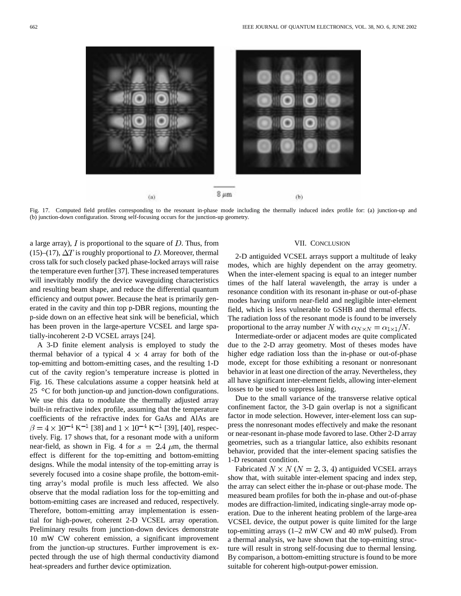

Fig. 17. Computed field profiles corresponding to the resonant in-phase mode including the thermally induced index profile for: (a) junction-up and (b) junction-down configuration. Strong self-focusing occurs for the junction-up geometry.

a large array),  $I$  is proportional to the square of  $D$ . Thus, from (15)–(17),  $\Delta T$  is roughly proportional to D. Moreover, thermal cross talk for such closely packed phase-locked arrays will raise the temperature even further [37]. These increased temperatures will inevitably modify the device waveguiding characteristics and resulting beam shape, and reduce the differential quantum efficiency and output power. Because the heat is primarily generated in the cavity and thin top p-DBR regions, mounting the p-side down on an effective heat sink will be beneficial, which has been proven in the large-aperture VCSEL and large spatially-incoherent 2-D VCSEL arrays [24].

A 3-D finite element analysis is employed to study the thermal behavior of a typical  $4 \times 4$  array for both of the top-emitting and bottom-emitting cases, and the resulting 1-D cut of the cavity region's temperature increase is plotted in Fig. 16. These calculations assume a copper heatsink held at 25  $\degree$ C for both junction-up and junction-down configurations. We use this data to modulate the thermally adjusted array built-in refractive index profile, assuming that the temperature coefficients of the refractive index for GaAs and AlAs are  $\beta = 4 \times 10^{-4} \text{ K}^{-1}$  [38] and  $1 \times 10^{-4} \text{ K}^{-1}$  [39], [40], respectively. Fig. 17 shows that, for a resonant mode with a uniform near-field, as shown in Fig. 4 for  $s = 2.4 \mu m$ , the thermal effect is different for the top-emitting and bottom-emitting designs. While the modal intensity of the top-emitting array is severely focused into a cosine shape profile, the bottom-emitting array's modal profile is much less affected. We also observe that the modal radiation loss for the top-emitting and bottom-emitting cases are increased and reduced, respectively. Therefore, bottom-emitting array implementation is essential for high-power, coherent 2-D VCSEL array operation. Preliminary results from junction-down devices demonstrate 10 mW CW coherent emission, a significant improvement from the junction-up structures. Further improvement is expected through the use of high thermal conductivity diamond heat-spreaders and further device optimization.

#### VII. CONCLUSION

2-D antiguided VCSEL arrays support a multitude of leaky modes, which are highly dependent on the array geometry. When the inter-element spacing is equal to an integer number times of the half lateral wavelength, the array is under a resonance condition with its resonant in-phase or out-of-phase modes having uniform near-field and negligible inter-element field, which is less vulnerable to GSHB and thermal effects. The radiation loss of the resonant mode is found to be inversely proportional to the array number N with  $\alpha_{N \times N} = \alpha_{1 \times 1}/N$ .

Intermediate-order or adjacent modes are quite complicated due to the 2-D array geometry. Most of theses modes have higher edge radiation loss than the in-phase or out-of-phase mode, except for those exhibiting a resonant or nonresonant behavior in at least one direction of the array. Nevertheless, they all have significant inter-element fields, allowing inter-element losses to be used to suppress lasing.

Due to the small variance of the transverse relative optical confinement factor, the 3-D gain overlap is not a significant factor in mode selection. However, inter-element loss can suppress the nonresonant modes effectively and make the resonant or near-resonant in-phase mode favored to lase. Other 2-D array geometries, such as a triangular lattice, also exhibits resonant behavior, provided that the inter-element spacing satisfies the 1-D resonant condition.

Fabricated  $N \times N$  ( $N = 2, 3, 4$ ) antiguided VCSEL arrays show that, with suitable inter-element spacing and index step, the array can select either the in-phase or out-phase mode. The measured beam profiles for both the in-phase and out-of-phase modes are diffraction-limited, indicating single-array mode operation. Due to the inherent heating problem of the large-area VCSEL device, the output power is quite limited for the large top-emitting arrays (1–2 mW CW and 40 mW pulsed). From a thermal analysis, we have shown that the top-emitting structure will result in strong self-focusing due to thermal lensing. By comparison, a bottom-emitting structure is found to be more suitable for coherent high-output-power emission.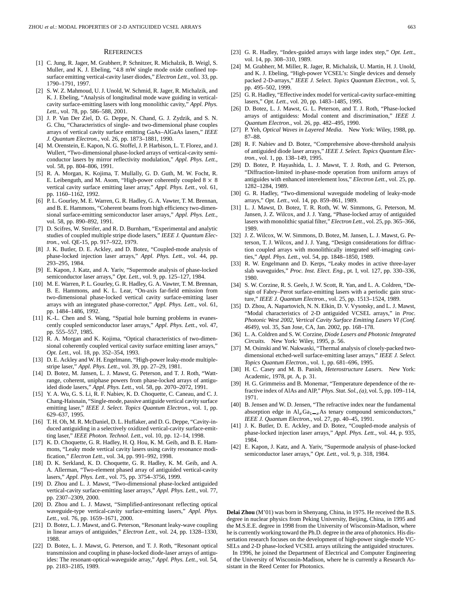#### **REFERENCES**

- [1] C. Jung, R. Jager, M. Grabherr, P. Schnitzer, R. Michalzik, B. Weigl, S. Muller, and K. J. Ebeling, "4.8 mW single mode oxide confined topsurface emitting vertical-cavity laser diodes," *Electron Lett.*, vol. 33, pp. 1790–1791, 1997.
- [2] S. W. Z. Mahmoud, U. J. Unold, W. Schmid, R. Jager, R. Michalzik, and K. J. Ebeling, "Analysis of longitudinal mode wave guiding in verticalcavity surface-emitting lasers with long monolithic cavity," *Appl. Phys. Lett.*, vol. 78, pp. 586–588, 2001.
- [3] J. P. Van Der Ziel, D. G. Deppe, N. Chand, G. J. Zydzik, and S. N. G. Chu, "Characteristics of single- and two-dimensional phase couples arrays of vertical cavity surface emitting GaAs–AlGaAs lasers," *IEEE J. Quantum Electron.*, vol. 26, pp. 1873–1881, 1990.
- [4] M. Orenstein, E. Kapon, N. G. Stoffel, J. P. Harbison, L. T. Florez, and J. Wullert, "Two-dimensional phase-locked arrays of vertical-cavity semiconductor lasers by mirror reflectivity modulation," *Appl. Phys. Lett.*, vol. 58, pp. 804–806, 1991.
- [5] R. A. Morgan, K. Kojima, T. Mullally, G. D. Guth, M. W. Focht, R. E. Leibenguth, and M. Asom, "High-power coherently coupled  $8 \times 8$ vertical cavity surface emitting laser array," *Appl. Phys. Lett.*, vol. 61, pp. 1160–1162, 1992.
- [6] P. L. Gourley, M. E. Warren, G. R. Hadley, G. A. Vawter, T. M. Brennan, and B. E. Hammons, "Coherent beams from high efficiency two-dimensional surface-emitting semiconductor laser arrays," *Appl. Phys. Lett.*, vol. 58, pp. 890–892, 1991.
- [7] D. Scifres, W. Streifer, and R. D. Burnham, "Experimental and analytic studies of coupled multiple stripe diode lasers," *IEEE J. Quantum Electron.*, vol. QE-15, pp. 917–922, 1979.
- [8] J. K. Butler, D. E. Ackley, and D. Botez, "Coupled-mode analysis of phase-locked injection laser arrays," *Appl. Phys. Lett.*, vol. 44, pp. 293–295, 1984.
- [9] E. Kapon, J. Katz, and A. Yariv, "Supermode analysis of phase-locked semiconductor laser arrays," *Opt. Lett.*, vol. 9, pp. 125–127, 1984.
- [10] M. E. Warren, P. L. Gourley, G. R. Hadley, G. A. Vawter, T. M. Brennan, B. E. Hammons, and K. L. Lear, "On-axis far-field emission from two-dimensional phase-locked vertical cavity surface-emitting laser arrays with an integrated phase-corrector," *Appl. Phys. Lett.*, vol. 61, pp. 1484–1486, 1992.
- [11] K.-L. Chen and S. Wang, "Spatial hole burning problems in evanescently coupled semiconductor laser arrays," *Appl. Phys. Lett.*, vol. 47, pp. 555–557, 1985.
- [12] R. A. Morgan and K. Kojima, "Optical characteristics of two-dimensional coherently coupled vertical cavity surface emitting laser arrays," *Opt. Lett.*, vol. 18, pp. 352–354, 1993.
- [13] D. E. Ackley and W. H. Engelmann, "High-power leaky-mode multiplestripe laser," *Appl. Phys. Lett.*, vol. 39, pp. 27–29, 1981.
- [14] D. Botez, M. Jansen, L. J. Mawst, G. Peterson, and T. J. Roth, "Wattrange, coherent, uniphase powers from phase-locked arrays of antiguided diode lasers," *Appl. Phys. Lett.*, vol. 58, pp. 2070–2072, 1991.
- [15] Y. A. Wu, G. S. Li, R. F. Nabiev, K. D. Choquette, C. Caneau, and C. J. Chang-Haisnain, "Single-mode, passive antiguide vertical cavity surface emitting laser," *IEEE J. Select. Topics Quantum Electron.*, vol. 1, pp. 629–637, 1995.
- [16] T. H. Oh, M. R. McDaniel, D. L. Huffaker, and D. G. Deppe, "Cavity-induced antiguiding in a selectively oxidized vertical-cavity surface-emitting laser," *IEEE Photon. Technol. Lett.*, vol. 10, pp. 12–14, 1998.
- [17] K. D. Choquette, G. R. Hadley, H. Q. Hou, K. M. Geib, and B. E. Hammons, "Leaky mode vertical cavity lasers using cavity resonance modification," *Electron Lett.*, vol. 34, pp. 991–992, 1998.
- [18] D. K. Serkland, K. D. Choquette, G. R. Hadley, K. M. Geib, and A. A. Allerman, "Two-element phased array of antiguided vertical-cavity lasers," *Appl. Phys. Lett.*, vol. 75, pp. 3754–3756, 1999.
- [19] D. Zhou and L. J. Mawst, "Two-dimensional phase-locked antiguided vertical-cavity surface-emitting laser arrays," *Appl. Phys. Lett.*, vol. 77, pp. 2307–2309, 2000.
- [20] D. Zhou and L. J. Mawst, "Simplified-antiresonant reflecting optical waveguide-type vertical-cavity surface-emitting lasers," *Appl. Phys. Lett.*, vol. 76, pp. 1659–1671, 2000.
- [21] D. Botez, L. J. Mawst, and G. Peterson, "Resonant leaky-wave coupling in linear arrays of antiguides," *Electron Lett.*, vol. 24, pp. 1328–1330, 1988.
- [22] D. Botez, L. J. Mawst, G. Peterson, and T. J. Roth, "Resonant optical transmission and coupling in phase-locked diode-laser arrays of antiguides: The resonant-optical-waveguide array," *Appl. Phys. Lett.*, vol. 54, pp. 2183–2185, 1989.
- [23] G. R. Hadley, "Index-guided arrays with large index step," *Opt. Lett.*, vol. 14, pp. 308–310, 1989.
- [24] M. Grabherr, M. Miller, R. Jager, R. Michalzik, U. Martin, H. J. Unold, and K. J. Ebeling, "High-power VCSEL's: Single devices and densely packed 2-D-arrays," *IEEE J. Select. Topics Quantum Electron.*, vol. 5, pp. 495–502, 1999.
- [25] G. R. Hadley, "Effective index model for vertical-cavity surface-emitting lasers," *Opt. Lett.*, vol. 20, pp. 1483–1485, 1995.
- [26] D. Botez, L. J. Mawst, G. L. Peterson, and T. J. Roth, "Phase-locked arrays of antiguidess: Modal content and discrimination," *IEEE J. Quantum Electron.*, vol. 26, pp. 482–495, 1990.
- [27] P. Yeh, *Optical Waves in Layered Media*. New York: Wiley, 1988, pp. 87–88.
- [28] R. F. Nabiev and D. Botez, "Comprehensive above-threshold analysis of antiguided diode laser arrays," *IEEE J. Select. Topics Quantum Electron.*, vol. 1, pp. 138–149, 1995.
- [29] D. Botez, P. Hayashida, L. J. Mawst, T. J. Roth, and G. Peterson, "Diffraction-limited in-phase-mode operation from uniform arrays of antiguides with enhanced interelement loss," *Electron Lett.*, vol. 25, pp. 1282–1284, 1989.
- [30] G. R. Hadley, "Two-dimensional waveguide modeling of leaky-mode arrays," *Opt. Lett.*, vol. 14, pp. 859–861, 1989.
- [31] L. J. Mawst, D. Botez, T. R. Roth, W. W. Simmons, G. Peterson, M. Jansen, J. Z. Wilcox, and J. J. Yang, "Phase-locked array of antiguided lasers with monolithic spatial filter," *Electron Lett.*, vol. 25, pp. 365–366, 1989.
- [32] J. Z. Wilcox, W. W. Simmons, D. Botez, M. Jansen, L. J. Mawst, G. Peterson, T. J. Wilcox, and J. J. Yang, "Design considerations for diffraction coupled arrays with monolithically integrated self-imaging cavities," *Appl. Phys. Lett.*, vol. 54, pp. 1848–1850, 1989.
- [33] R. W. Engelmann and D. Kerps, "Leaky modes in active three-layer slab waveguides," *Proc. Inst. Elect. Eng.*, pt. I, vol. 127, pp. 330–336, 1980.
- [34] S. W. Corzine, R. S. Geels, J. W. Scott, R. Yan, and L. A. Coldren, "Design of Fabry–Perot surface-emitting lasers with a periodic gain structure," *IEEE J. Quantum Electron.*, vol. 25, pp. 1513–1524, 1989.
- [35] D. Zhou, A. Napartovich, N. N. Elkin, D. V. Vysotsky, and L. J. Mawst, "Modal characteristics of 2-D antiguided VCSEL arrays," in *Proc. Photonic West 2002, Vertical Cavity Surface Emitting Lasers VI (Conf. 4649)*, vol. 35, San Jose, CA, Jan. 2002, pp. 168–178.
- [36] L. A. Coldren and S. W. Corzine, *Diode Lasers and Photonic Integrated Circuits*. New York: Wiley, 1995, p. 56.
- [37] M. Osinski and W. Nakwaski, "Thermal analysis of closely-packed twodimensional etched-well surface-emitting laser arrays," *IEEE J. Select. Topics Quantum Electron.*, vol. 1, pp. 681–696, 1995.
- [38] H. C. Casey and M. B. Panish, *Heterostructure Lasers*. New York: Academic, 1978, pt. A, p. 31.
- [39] H. G. Grimmeiss and B. Monemar, "Temperature dependence of the refractive index of AlAs and AlP," *Phys. Stat. Sol., (a)*, vol. 5, pp. 109–114, 1971.
- [40] B. Jensen and W. D. Jensen, "The refractive index near the fundamental absorption edge in  $\text{Al}_x\text{Ga}_{1-x}$  As tenary compound semiconductors," *IEEE J. Quantum Electron.*, vol. 27, pp. 40–45, 1991.
- [41] J. K. Butler, D. E. Ackley, and D. Botez, "Coupled-mode analysis of phase-locked injection laser arrays," *Appl. Phys. Lett.*, vol. 44, p. 935, 1984.
- [42] E. Kapon, J. Katz, and A. Yariv, "Supermode analysis of phase-locked semiconductor laser arrays," *Opt. Lett.*, vol. 9, p. 318, 1984.

**Delai Zhou** (M'01) was born in Shenyang, China, in 1975. He received the B.S. degree in nuclear physics from Peking University, Beijing, China, in 1995 and the M.S.E.E. degree in 1998 from the University of Wisconsin-Madison, where he is currently working toward the Ph.D. degree in the area of photonics. His dissertation research focuses on the development of high-power single-mode VC-SELs and 2-D phase-locked VCSEL arrays utilizing the antiguided structures.

In 1996, he joined the Department of Electrical and Computer Engineering of the University of Wisconsin-Madison, where he is currently a Research Assistant in the Reed Center for Photonics.